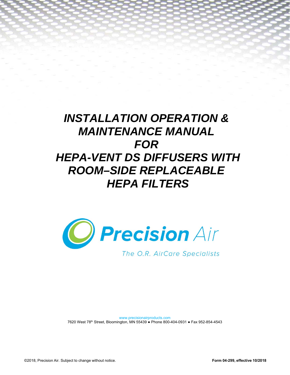# *INSTALLATION OPERATION & MAINTENANCE MANUAL FOR HEPA-VENT DS DIFFUSERS WITH ROOM–SIDE REPLACEABLE HEPA FILTERS*



www.precisionairproducts.com 7620 West 78th Street, Bloomington, MN 55439 ● Phone 800-404-0931 ● Fax 952-854-4543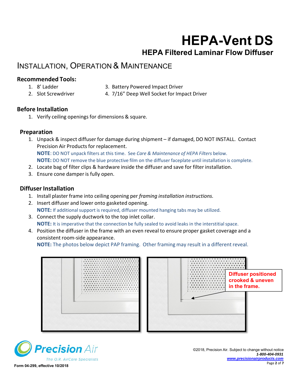# **HEPA-Vent DS HEPA Filtered Laminar Flow Diffuser**

## INSTALLATION, OPERATION & MAINTENANCE

#### **Recommended Tools:**

- 1. 8' Ladder 3. Battery Powered Impact Driver
- 
- 2. Slot Screwdriver 4. 7/16" Deep Well Socket for Impact Driver

#### **Before Installation**

1. Verify ceiling openings for dimensions & square.

#### **Preparation**

- 1. Unpack & inspect diffuser for damage during shipment if damaged, DO NOT INSTALL. Contact Precision Air Products for replacement. **NOTE**: DO NOT unpack filters at this time. See *Care & Maintenance of HEPA Filters* below. **NOTE:** DO NOT remove the blue protective film on the diffuser faceplate until installation is complete.
- 2. Locate bag of filter clips & hardware inside the diffuser and save for filter installation.
- 3. Ensure cone damper is fully open.

#### **Diffuser Installation**

- 1. Install plaster frame into ceiling opening per *framing installation instructions.*
- 2. Insert diffuser and lower onto gasketed opening. **NOTE:** If additional support is required, diffuser mounted hanging tabs may be utilized.
- 3. Connect the supply ductwork to the top inlet collar. **NOTE:** It is imperative that the connection be fully sealed to avoid leaks in the interstitial space.
- 4. Position the diffuser in the frame with an even reveal to ensure proper gasket coverage and a consistent room‐side appearance.

**NOTE:** The photos below depict PAP framing. Other framing may result in a different reveal.



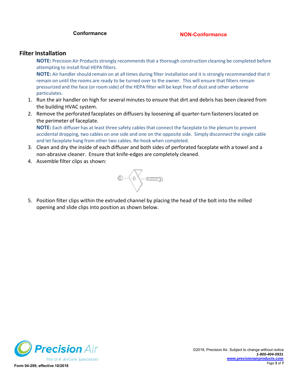#### **Conformance NON-Conformance**

#### **Filter Installation**

**NOTE:** Precision Air Products strongly recommends that a thorough construction cleaning be completed before attempting to install final HEPA filters.

**NOTE:** Air handler should remain on at all times during filter installation and it is strongly recommended that it remain on until the rooms are ready to be turned over to the owner. This will ensure that filters remain pressurized and the face (or room side) of the HEPA filter will be kept free of dust and other airborne particulates.

- 1. Run the air handler on high for several minutes to ensure that dirt and debris has been cleared from the building HVAC system.
- 2. Remove the perforated faceplates on diffusers by loosening all quarter-turn fasteners located on the perimeter of faceplate.

**NOTE:** Each diffuser has at least three safety cables that connect the faceplate to the plenum to prevent accidental dropping, two cables on one side and one on the opposite side. Simply disconnect the single cable and let faceplate hang from other two cables. Re‐hook when completed.

- 3. Clean and dry the inside of each diffuser and both sides of perforated faceplate with a towel and a non‐abrasive cleaner. Ensure that knife‐edges are completely cleaned.
- 4. Assemble filter clips as shown:



5. Position filter clips within the extruded channel by placing the head of the bolt into the milled opening and slide clips into position as shown below.

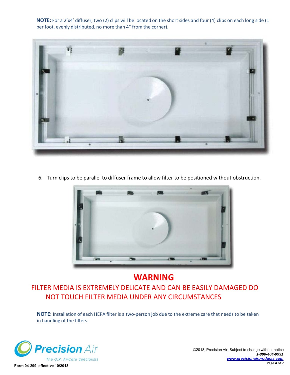**NOTE:** For a 2'x4' diffuser, two (2) clips will be located on the short sides and four (4) clips on each long side (1 per foot, evenly distributed, no more than 4" from the corner).



6. Turn clips to be parallel to diffuser frame to allow filter to be positioned without obstruction.



### **WARNING**

### FILTER MEDIA IS EXTREMELY DELICATE AND CAN BE EASILY DAMAGED DO NOT TOUCH FILTER MEDIA UNDER ANY CIRCUMSTANCES

**NOTE:** Installation of each HEPA filter is a two‐person job due to the extreme care that needs to be taken in handling of the filters.



©2018, Precision Air. Subject to change without notice *1-800-404-0931 www.precisionairproducts.com*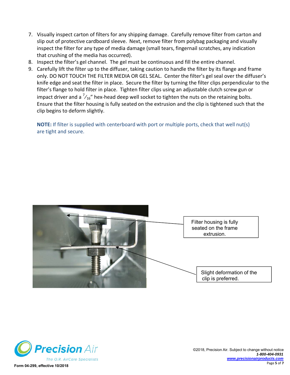- 7. Visually inspect carton of filters for any shipping damage. Carefully remove filter from carton and slip out of protective cardboard sleeve. Next, remove filter from polybag packaging and visually inspect the filter for any type of media damage (small tears, fingernail scratches, any indication that crushing of the media has occurred).
- 8. Inspect the filter's gel channel. The gel must be continuous and fill the entire channel.
- 9. Carefully lift the filter up to the diffuser, taking caution to handle the filter by its flange and frame only. DO NOT TOUCH THE FILTER MEDIA OR GEL SEAL. Center the filter's gel seal over the diffuser's knife edge and seat the filter in place. Secure the filter by turning the filter clips perpendicular to the filter's flange to hold filter in place. Tighten filter clips using an adjustable clutch screw gun or impact driver and a  $\frac{7}{16}$ " hex-head deep well socket to tighten the nuts on the retaining bolts. Ensure that the filter housing is fully seated on the extrusion and the clip is tightened such that the clip begins to deform slightly.

**NOTE:** If filter is supplied with centerboard with port or multiple ports, check that well nut(s) are tight and secure.



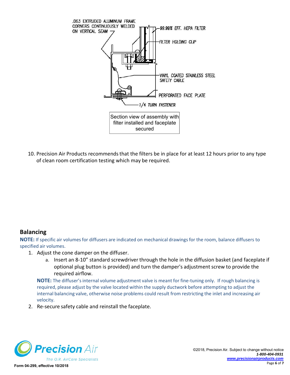

10. Precision Air Products recommends that the filters be in place for at least 12 hours prior to any type of clean room certification testing which may be required.

#### **Balancing**

**NOTE:** If specific air volumes for diffusers are indicated on mechanical drawings for the room, balance diffusers to specified air volumes.

- 1. Adjust the cone damper on the diffuser.
	- a. Insert an 8‐10" standard screwdriver through the hole in the diffusion basket (and faceplate if optional plug button is provided) and turn the damper's adjustment screw to provide the required airflow.

**NOTE:** The diffuser's internal volume adjustment valve is meant for fine-tuning only. If rough balancing is required, please adjust by the valve located within the supply ductwork before attempting to adjust the internal balancing valve, otherwise noise problems could result from restricting the inlet and increasing air velocity.

2. Re‐secure safety cable and reinstall the faceplate.